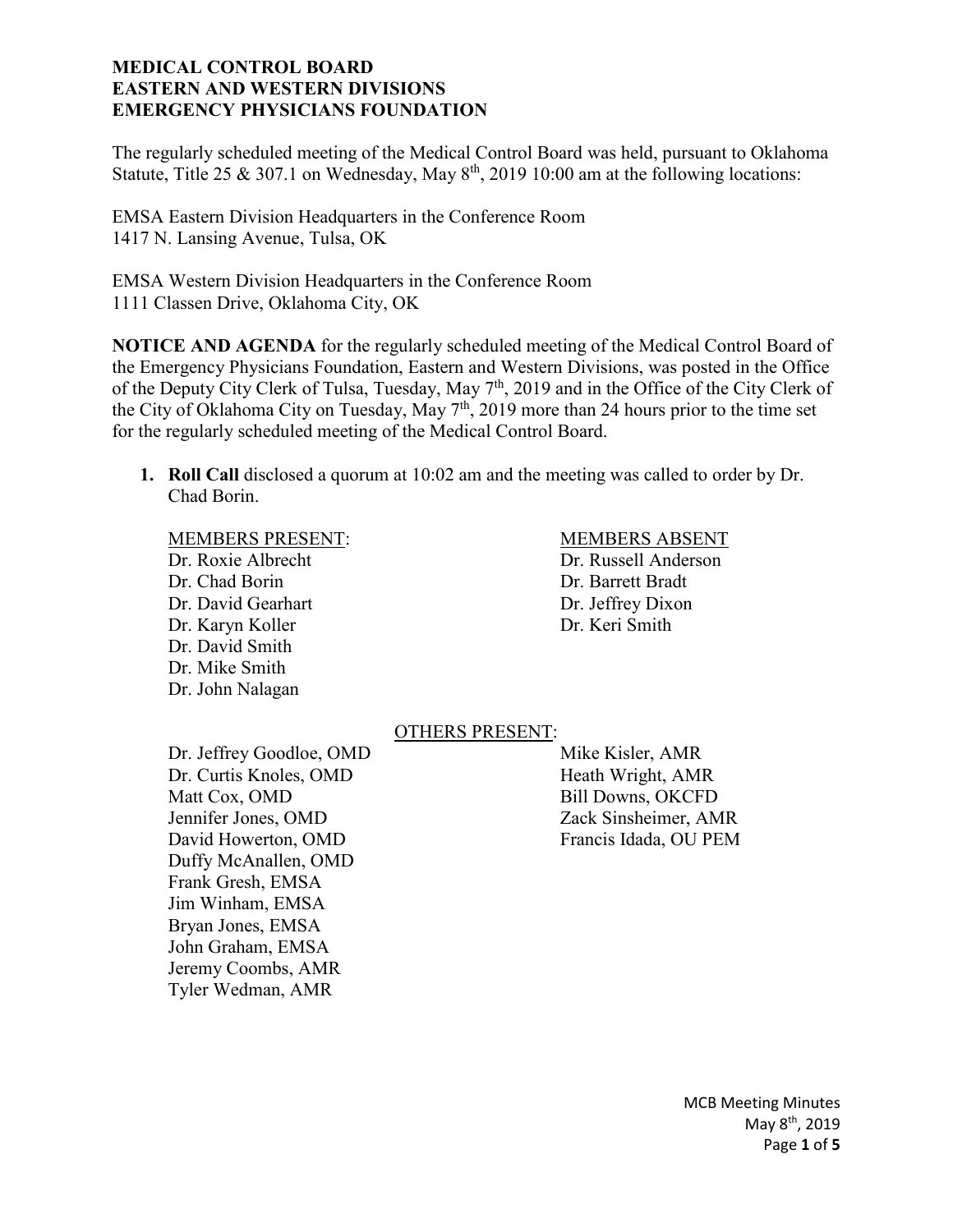The regularly scheduled meeting of the Medical Control Board was held, pursuant to Oklahoma Statute, Title 25 & 307.1 on Wednesday, May 8<sup>th</sup>, 2019 10:00 am at the following locations:

EMSA Eastern Division Headquarters in the Conference Room 1417 N. Lansing Avenue, Tulsa, OK

EMSA Western Division Headquarters in the Conference Room 1111 Classen Drive, Oklahoma City, OK

**NOTICE AND AGENDA** for the regularly scheduled meeting of the Medical Control Board of the Emergency Physicians Foundation, Eastern and Western Divisions, was posted in the Office of the Deputy City Clerk of Tulsa, Tuesday, May 7<sup>th</sup>, 2019 and in the Office of the City Clerk of the City of Oklahoma City on Tuesday, May 7<sup>th</sup>, 2019 more than 24 hours prior to the time set for the regularly scheduled meeting of the Medical Control Board.

**1. Roll Call** disclosed a quorum at 10:02 am and the meeting was called to order by Dr. Chad Borin.

Dr. Roxie Albrecht Dr. Russell Anderson Dr. Chad Borin Dr. Barrett Bradt Dr. David Gearhart Dr. Jeffrey Dixon Dr. Karyn Koller Dr. Keri Smith Dr. David Smith Dr. Mike Smith Dr. John Nalagan

# MEMBERS PRESENT: MEMBERS ABSENT

## OTHERS PRESENT:

Dr. Jeffrey Goodloe, OMD Mike Kisler, AMR Dr. Curtis Knoles, OMD Heath Wright, AMR Matt Cox, OMD Bill Downs, OKCFD Jennifer Jones, OMD Zack Sinsheimer, AMR David Howerton, OMD Francis Idada, OU PEM Duffy McAnallen, OMD Frank Gresh, EMSA Jim Winham, EMSA Bryan Jones, EMSA John Graham, EMSA Jeremy Coombs, AMR Tyler Wedman, AMR

MCB Meeting Minutes May 8th, 2019 Page **1** of **5**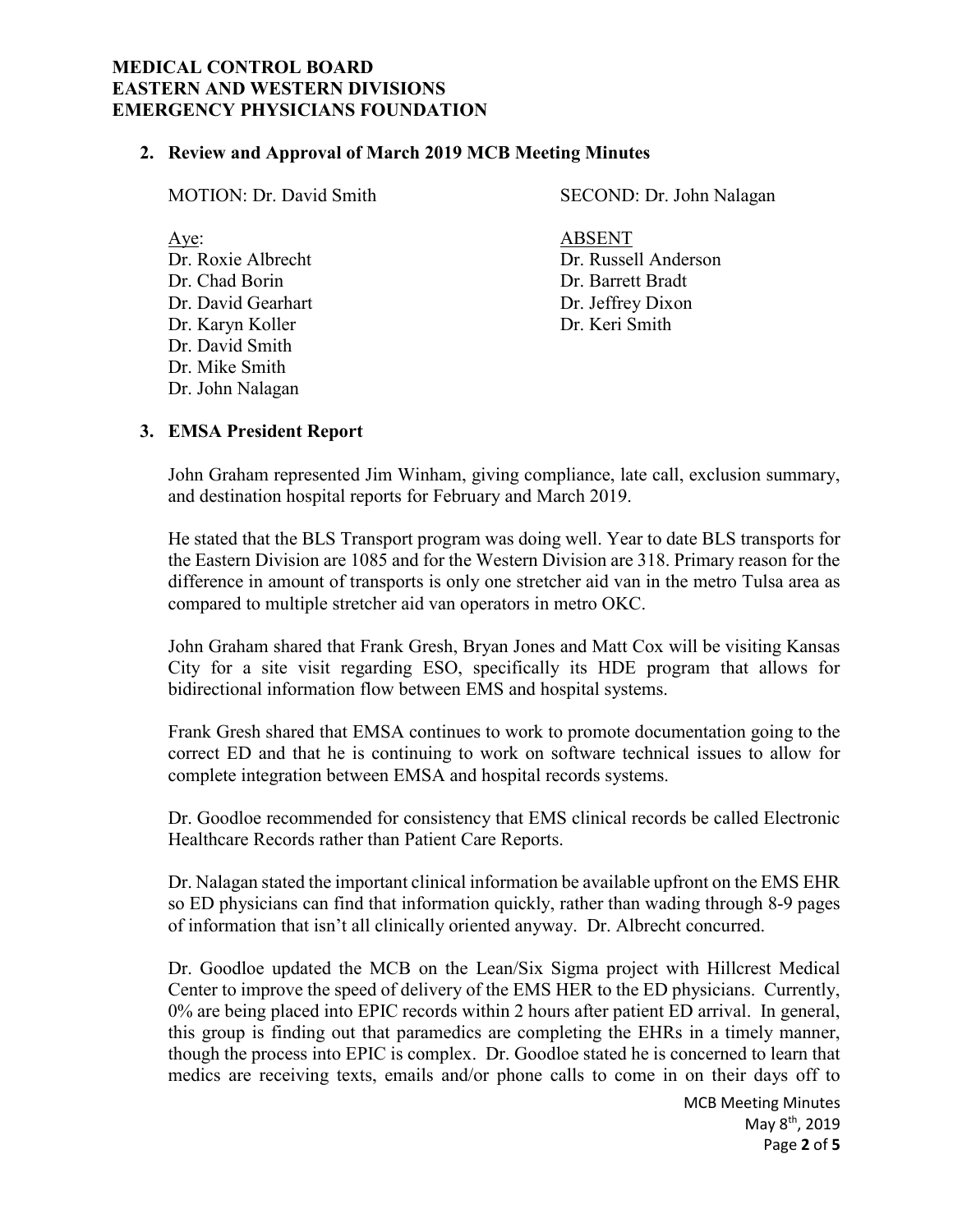## **2. Review and Approval of March 2019 MCB Meeting Minutes**

| MOTION: Dr. David Smith              | SECOND: Dr. John Nalagan              |
|--------------------------------------|---------------------------------------|
| Aye:<br>Dr. Roxie Albrecht           | <b>ABSENT</b><br>Dr. Russell Anderson |
| Dr. Chad Borin<br>Dr. David Gearhart | Dr. Barrett Bradt                     |
| Dr. Karyn Koller                     | Dr. Jeffrey Dixon<br>Dr. Keri Smith   |
| Dr. David Smith                      |                                       |
| Dr. Mike Smith                       |                                       |
| Dr. John Nalagan                     |                                       |

### **3. EMSA President Report**

John Graham represented Jim Winham, giving compliance, late call, exclusion summary, and destination hospital reports for February and March 2019.

He stated that the BLS Transport program was doing well. Year to date BLS transports for the Eastern Division are 1085 and for the Western Division are 318. Primary reason for the difference in amount of transports is only one stretcher aid van in the metro Tulsa area as compared to multiple stretcher aid van operators in metro OKC.

John Graham shared that Frank Gresh, Bryan Jones and Matt Cox will be visiting Kansas City for a site visit regarding ESO, specifically its HDE program that allows for bidirectional information flow between EMS and hospital systems.

Frank Gresh shared that EMSA continues to work to promote documentation going to the correct ED and that he is continuing to work on software technical issues to allow for complete integration between EMSA and hospital records systems.

Dr. Goodloe recommended for consistency that EMS clinical records be called Electronic Healthcare Records rather than Patient Care Reports.

Dr. Nalagan stated the important clinical information be available upfront on the EMS EHR so ED physicians can find that information quickly, rather than wading through 8-9 pages of information that isn't all clinically oriented anyway. Dr. Albrecht concurred.

Dr. Goodloe updated the MCB on the Lean/Six Sigma project with Hillcrest Medical Center to improve the speed of delivery of the EMS HER to the ED physicians. Currently, 0% are being placed into EPIC records within 2 hours after patient ED arrival. In general, this group is finding out that paramedics are completing the EHRs in a timely manner, though the process into EPIC is complex. Dr. Goodloe stated he is concerned to learn that medics are receiving texts, emails and/or phone calls to come in on their days off to

> MCB Meeting Minutes May 8th, 2019 Page **2** of **5**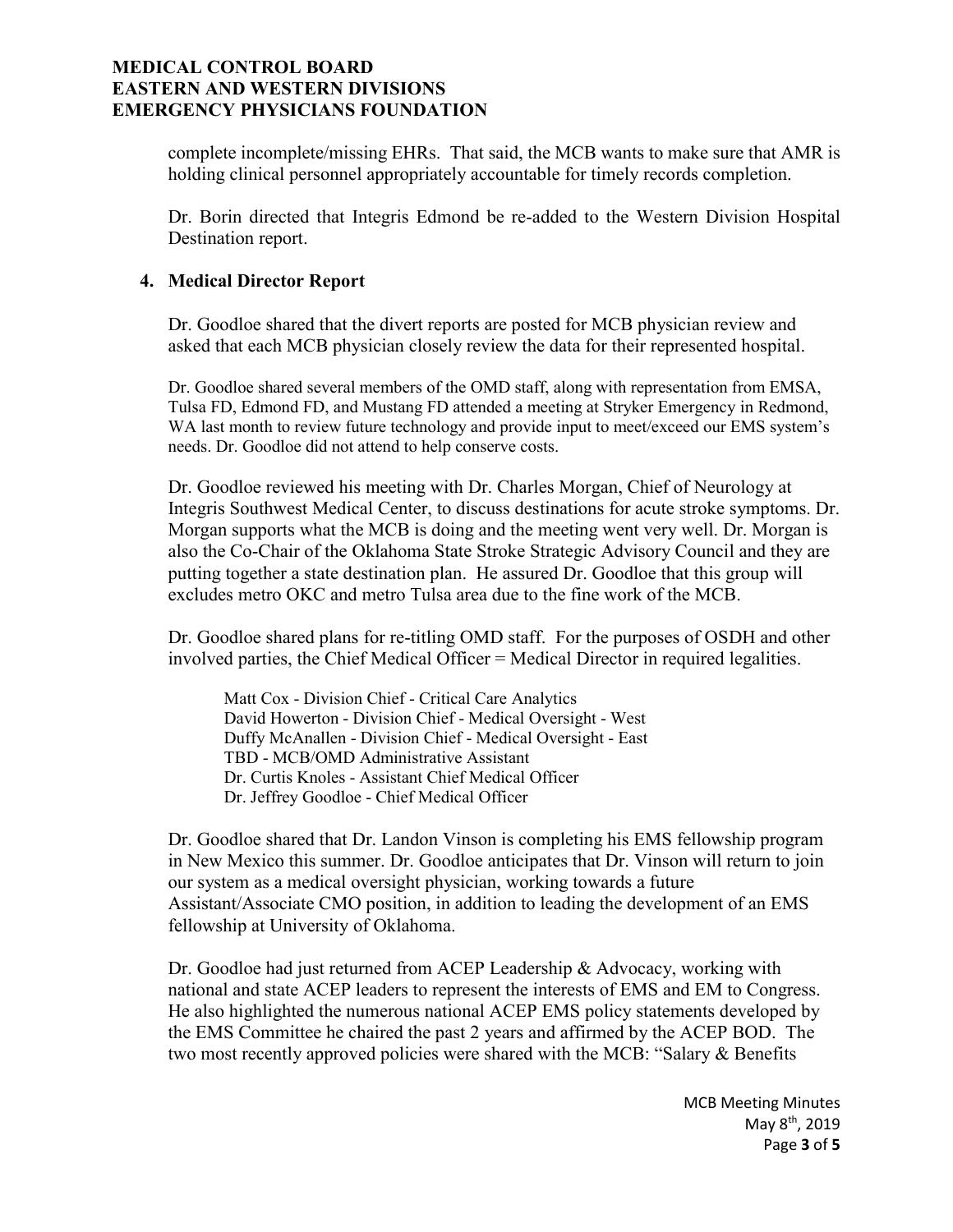complete incomplete/missing EHRs. That said, the MCB wants to make sure that AMR is holding clinical personnel appropriately accountable for timely records completion.

Dr. Borin directed that Integris Edmond be re-added to the Western Division Hospital Destination report.

## **4. Medical Director Report**

Dr. Goodloe shared that the divert reports are posted for MCB physician review and asked that each MCB physician closely review the data for their represented hospital.

Dr. Goodloe shared several members of the OMD staff, along with representation from EMSA, Tulsa FD, Edmond FD, and Mustang FD attended a meeting at Stryker Emergency in Redmond, WA last month to review future technology and provide input to meet/exceed our EMS system's needs. Dr. Goodloe did not attend to help conserve costs.

Dr. Goodloe reviewed his meeting with Dr. Charles Morgan, Chief of Neurology at Integris Southwest Medical Center, to discuss destinations for acute stroke symptoms. Dr. Morgan supports what the MCB is doing and the meeting went very well. Dr. Morgan is also the Co-Chair of the Oklahoma State Stroke Strategic Advisory Council and they are putting together a state destination plan. He assured Dr. Goodloe that this group will excludes metro OKC and metro Tulsa area due to the fine work of the MCB.

Dr. Goodloe shared plans for re-titling OMD staff. For the purposes of OSDH and other involved parties, the Chief Medical Officer = Medical Director in required legalities.

Matt Cox - Division Chief - Critical Care Analytics David Howerton - Division Chief - Medical Oversight - West Duffy McAnallen - Division Chief - Medical Oversight - East TBD - MCB/OMD Administrative Assistant Dr. Curtis Knoles - Assistant Chief Medical Officer Dr. Jeffrey Goodloe - Chief Medical Officer

Dr. Goodloe shared that Dr. Landon Vinson is completing his EMS fellowship program in New Mexico this summer. Dr. Goodloe anticipates that Dr. Vinson will return to join our system as a medical oversight physician, working towards a future Assistant/Associate CMO position, in addition to leading the development of an EMS fellowship at University of Oklahoma.

Dr. Goodloe had just returned from ACEP Leadership & Advocacy, working with national and state ACEP leaders to represent the interests of EMS and EM to Congress. He also highlighted the numerous national ACEP EMS policy statements developed by the EMS Committee he chaired the past 2 years and affirmed by the ACEP BOD. The two most recently approved policies were shared with the MCB: "Salary & Benefits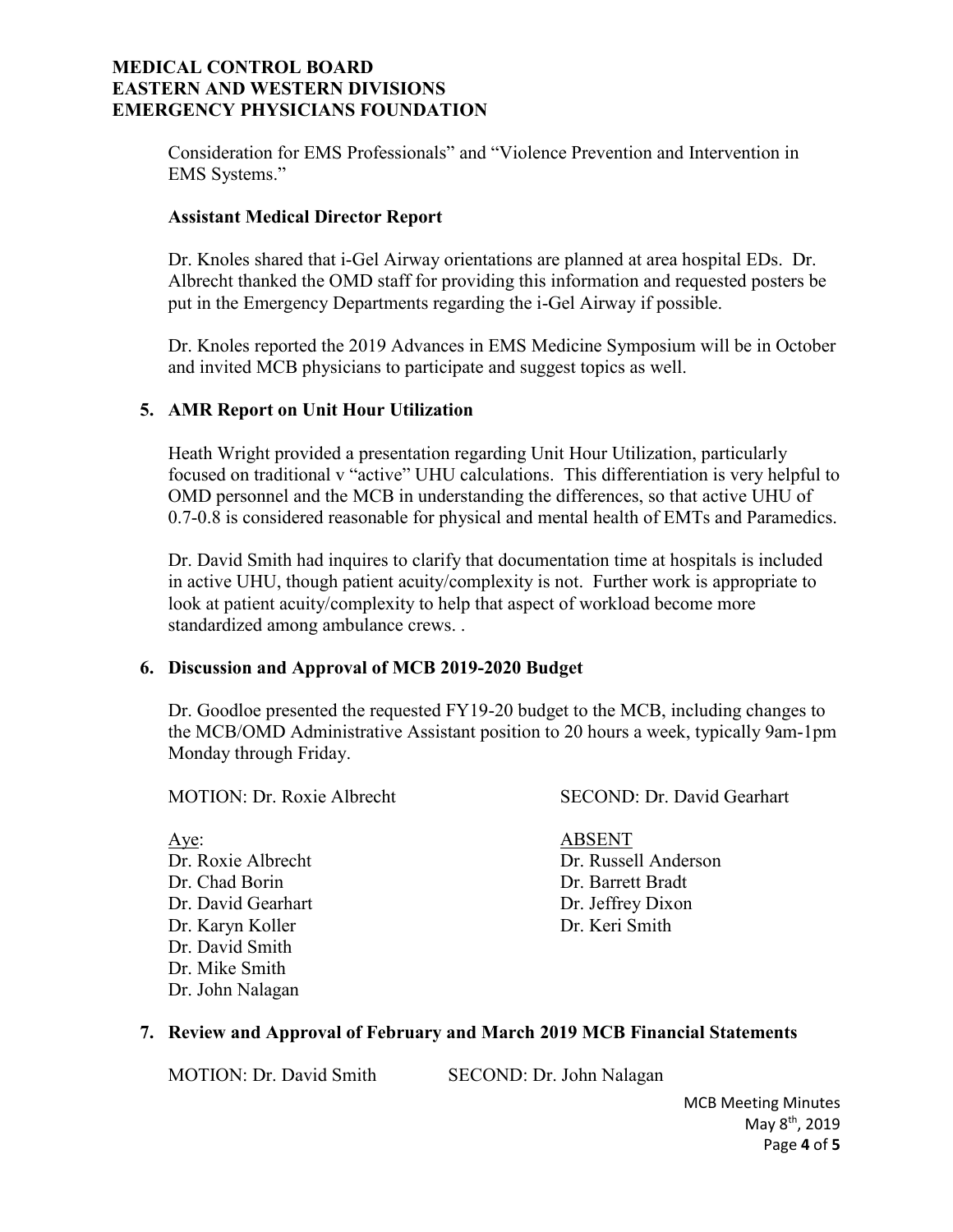Consideration for EMS Professionals" and "Violence Prevention and Intervention in EMS Systems."

### **Assistant Medical Director Report**

Dr. Knoles shared that i-Gel Airway orientations are planned at area hospital EDs. Dr. Albrecht thanked the OMD staff for providing this information and requested posters be put in the Emergency Departments regarding the i-Gel Airway if possible.

Dr. Knoles reported the 2019 Advances in EMS Medicine Symposium will be in October and invited MCB physicians to participate and suggest topics as well.

## **5. AMR Report on Unit Hour Utilization**

Heath Wright provided a presentation regarding Unit Hour Utilization, particularly focused on traditional v "active" UHU calculations. This differentiation is very helpful to OMD personnel and the MCB in understanding the differences, so that active UHU of 0.7-0.8 is considered reasonable for physical and mental health of EMTs and Paramedics.

Dr. David Smith had inquires to clarify that documentation time at hospitals is included in active UHU, though patient acuity/complexity is not. Further work is appropriate to look at patient acuity/complexity to help that aspect of workload become more standardized among ambulance crews. .

## **6. Discussion and Approval of MCB 2019-2020 Budget**

Dr. Goodloe presented the requested FY19-20 budget to the MCB, including changes to the MCB/OMD Administrative Assistant position to 20 hours a week, typically 9am-1pm Monday through Friday.

MOTION: Dr. Roxie Albrecht SECOND: Dr. David Gearhart

Aye: ABSENT Dr. Chad Borin Dr. Barrett Bradt Dr. David Gearhart Dr. Jeffrey Dixon Dr. Karyn Koller Dr. Keri Smith Dr. David Smith Dr. Mike Smith Dr. John Nalagan

Dr. Roxie Albrecht Dr. Russell Anderson

## **7. Review and Approval of February and March 2019 MCB Financial Statements**

MOTION: Dr. David Smith SECOND: Dr. John Nalagan

MCB Meeting Minutes May 8th, 2019 Page **4** of **5**